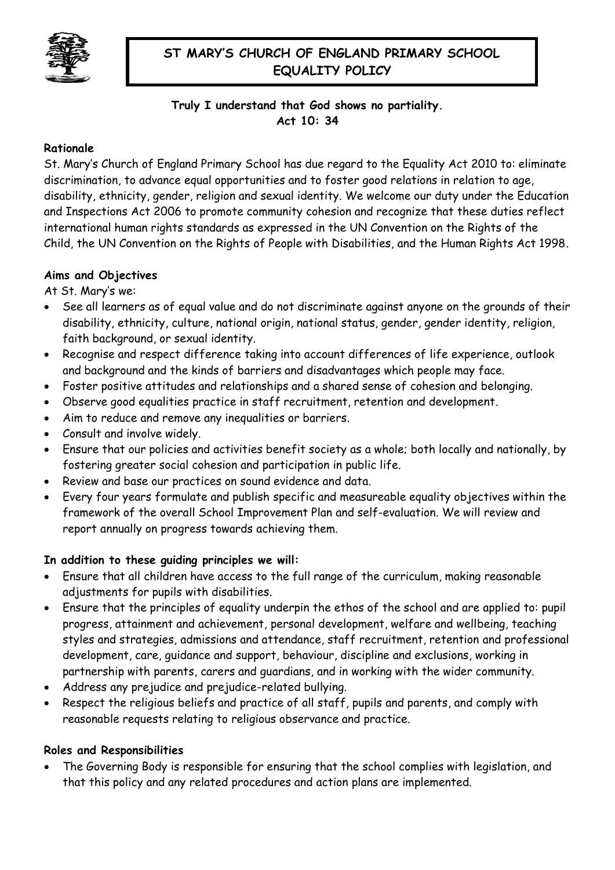

# **ST MARY'S CHURCH OF ENGLAND PRIMARY SCHOOL EQUALITY POLICY**

# **Truly I understand that God shows no partiality. Act 10: 34**

## **Rationale**

St. Mary's Church of England Primary School has due regard to the Equality Act 2010 to: eliminate discrimination, to advance equal opportunities and to foster good relations in relation to age, disability, ethnicity, gender, religion and sexual identity. We welcome our duty under the Education and Inspections Act 2006 to promote community cohesion and recognize that these duties reflect international human rights standards as expressed in the UN Convention on the Rights of the Child, the UN Convention on the Rights of People with Disabilities, and the Human Rights Act 1998.

## **Aims and Objectives**

At St. Mary's we:

- See all learners as of equal value and do not discriminate against anyone on the grounds of their disability, ethnicity, culture, national origin, national status, gender, gender identity, religion, faith background, or sexual identity.
- Recognise and respect difference taking into account differences of life experience, outlook and background and the kinds of barriers and disadvantages which people may face.
- Foster positive attitudes and relationships and a shared sense of cohesion and belonging.
- Observe good equalities practice in staff recruitment, retention and development.
- Aim to reduce and remove any inequalities or barriers.
- Consult and involve widely.
- Ensure that our policies and activities benefit society as a whole; both locally and nationally, by fostering greater social cohesion and participation in public life.
- Review and base our practices on sound evidence and data.
- Every four years formulate and publish specific and measureable equality objectives within the framework of the overall School Improvement Plan and self-evaluation. We will review and report annually on progress towards achieving them.

# **In addition to these guiding principles we will:**

- Ensure that all children have access to the full range of the curriculum, making reasonable adjustments for pupils with disabilities.
- Ensure that the principles of equality underpin the ethos of the school and are applied to: pupil progress, attainment and achievement, personal development, welfare and wellbeing, teaching styles and strategies, admissions and attendance, staff recruitment, retention and professional development, care, guidance and support, behaviour, discipline and exclusions, working in partnership with parents, carers and guardians, and in working with the wider community.
- Address any prejudice and prejudice-related bullying.
- Respect the religious beliefs and practice of all staff, pupils and parents, and comply with reasonable requests relating to religious observance and practice.

## **Roles and Responsibilities**

 The Governing Body is responsible for ensuring that the school complies with legislation, and that this policy and any related procedures and action plans are implemented.